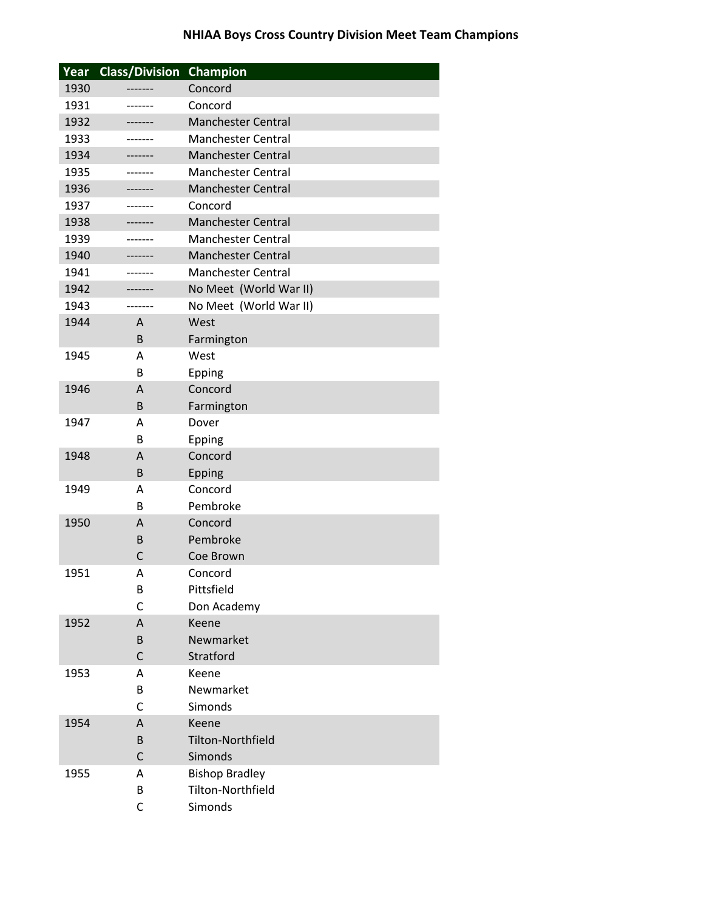| Year | <b>Class/Division</b> | Champion                  |
|------|-----------------------|---------------------------|
| 1930 | -------               | Concord                   |
| 1931 | -------               | Concord                   |
| 1932 |                       | <b>Manchester Central</b> |
| 1933 | ------                | <b>Manchester Central</b> |
| 1934 | ------                | <b>Manchester Central</b> |
| 1935 | -------               | <b>Manchester Central</b> |
| 1936 | -------               | <b>Manchester Central</b> |
| 1937 | ------                | Concord                   |
| 1938 | ------                | <b>Manchester Central</b> |
| 1939 |                       | <b>Manchester Central</b> |
| 1940 | -------               | <b>Manchester Central</b> |
| 1941 | -------               | <b>Manchester Central</b> |
| 1942 |                       | No Meet (World War II)    |
| 1943 | ------                | No Meet (World War II)    |
| 1944 | A                     | West                      |
|      | B                     | Farmington                |
| 1945 | A                     | West                      |
|      | B                     | Epping                    |
| 1946 | A                     | Concord                   |
|      | B                     | Farmington                |
| 1947 | Α                     | Dover                     |
|      | B                     | Epping                    |
| 1948 | A                     | Concord                   |
|      | B                     | Epping                    |
| 1949 | A                     | Concord                   |
|      | B                     | Pembroke                  |
| 1950 | A                     | Concord                   |
|      | B                     | Pembroke                  |
|      | $\mathsf{C}$          | Coe Brown                 |
| 1951 | Α                     | Concord                   |
|      | В                     | Pittsfield                |
|      | С                     | Don Academy               |
| 1952 | A                     | Keene                     |
|      | B                     | Newmarket                 |
|      | С                     | Stratford                 |
| 1953 | A                     | Keene                     |
|      | В                     | Newmarket                 |
|      | C                     | Simonds                   |
| 1954 | A                     | Keene                     |
|      | B                     | <b>Tilton-Northfield</b>  |
|      | C                     | Simonds                   |
| 1955 | A                     | <b>Bishop Bradley</b>     |
|      | B                     | Tilton-Northfield         |
|      | C                     | Simonds                   |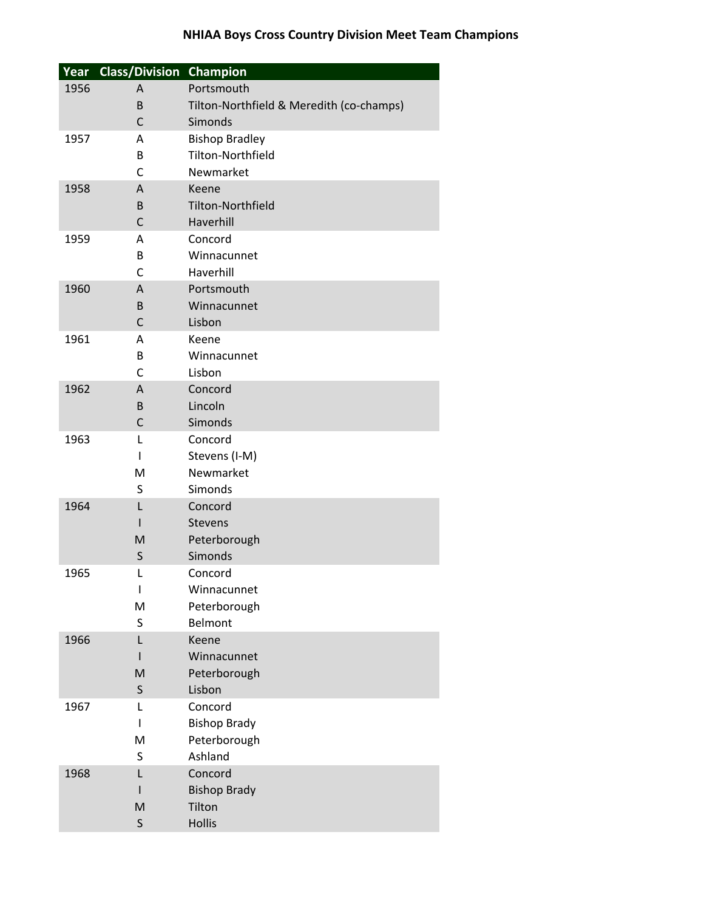| Year | <b>Class/Division Champion</b> |                                          |
|------|--------------------------------|------------------------------------------|
| 1956 | A                              | Portsmouth                               |
|      | B                              | Tilton-Northfield & Meredith (co-champs) |
|      | C                              | Simonds                                  |
| 1957 | Α                              | <b>Bishop Bradley</b>                    |
|      | B                              | Tilton-Northfield                        |
|      | C                              | Newmarket                                |
| 1958 | $\overline{A}$                 | Keene                                    |
|      | B                              | <b>Tilton-Northfield</b>                 |
|      | $\mathsf{C}$                   | Haverhill                                |
| 1959 | A                              | Concord                                  |
|      | B                              | Winnacunnet                              |
|      | $\mathsf{C}$                   | Haverhill                                |
| 1960 | Α                              | Portsmouth                               |
|      | B                              | Winnacunnet                              |
|      | $\mathsf{C}$                   | Lisbon                                   |
| 1961 | A                              | Keene                                    |
|      | B                              | Winnacunnet                              |
|      | C                              | Lisbon                                   |
| 1962 | A                              | Concord                                  |
|      | B                              | Lincoln                                  |
|      | C                              | Simonds                                  |
| 1963 | L                              | Concord                                  |
|      | I.                             | Stevens (I-M)                            |
|      | M                              | Newmarket                                |
|      | S                              | Simonds                                  |
| 1964 | L                              | Concord                                  |
|      | ı                              | <b>Stevens</b>                           |
|      | M                              | Peterborough                             |
|      | $\sf S$                        | Simonds                                  |
| 1965 | L                              | Concord                                  |
|      | T                              | Winnacunnet                              |
|      | M                              | Peterborough                             |
|      | S                              | Belmont                                  |
| 1966 | L                              | Keene                                    |
|      |                                | Winnacunnet                              |
|      | M                              | Peterborough                             |
|      | S                              | Lisbon                                   |
| 1967 | L                              | Concord                                  |
|      | I                              | <b>Bishop Brady</b>                      |
|      | M                              | Peterborough                             |
|      | S                              | Ashland                                  |
| 1968 | L                              | Concord                                  |
|      | ı                              | <b>Bishop Brady</b>                      |
|      | M                              | Tilton                                   |
|      | $\sf S$                        | <b>Hollis</b>                            |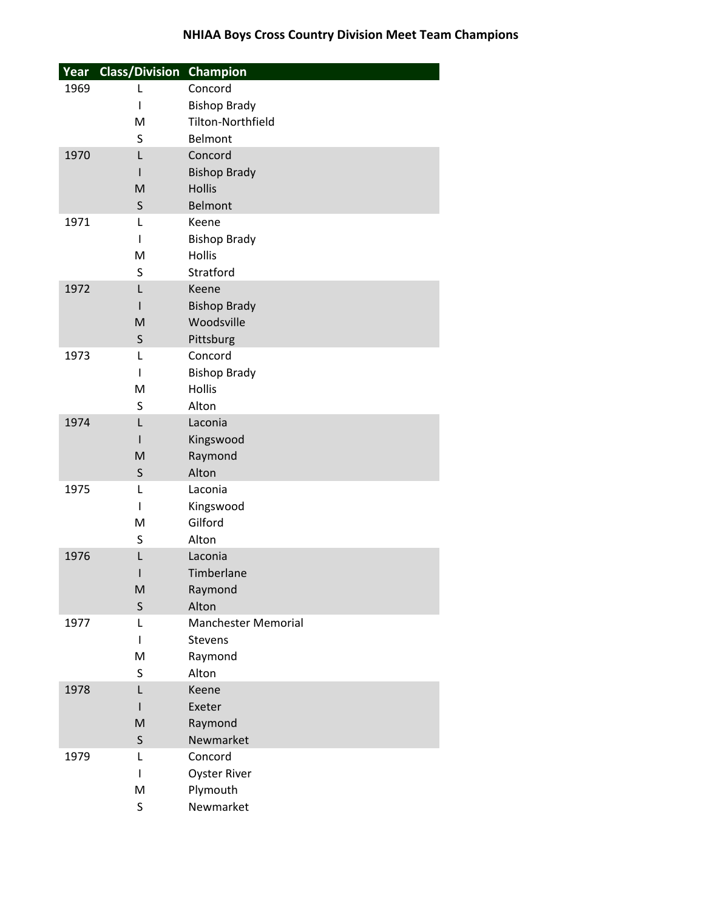| Year | <b>Class/Division Champion</b> |                            |
|------|--------------------------------|----------------------------|
| 1969 | L                              | Concord                    |
|      | ı                              | <b>Bishop Brady</b>        |
|      | M                              | <b>Tilton-Northfield</b>   |
|      | S                              | Belmont                    |
| 1970 | L                              | Concord                    |
|      | ı                              | <b>Bishop Brady</b>        |
|      | M                              | <b>Hollis</b>              |
|      | S                              | <b>Belmont</b>             |
| 1971 | L                              | Keene                      |
|      | ı                              | <b>Bishop Brady</b>        |
|      | M                              | <b>Hollis</b>              |
|      | S                              | Stratford                  |
| 1972 | L                              | Keene                      |
|      |                                | <b>Bishop Brady</b>        |
|      | M                              | Woodsville                 |
|      | S                              | Pittsburg                  |
| 1973 | L                              | Concord                    |
|      | L                              | <b>Bishop Brady</b>        |
|      | M                              | <b>Hollis</b>              |
|      | S                              | Alton                      |
| 1974 | L                              | Laconia                    |
|      |                                | Kingswood                  |
|      | M                              | Raymond                    |
| 1975 | $\sf S$<br>L                   | Alton<br>Laconia           |
|      | ı                              | Kingswood                  |
|      | M                              | Gilford                    |
|      | S                              | Alton                      |
| 1976 | L                              | Laconia                    |
|      |                                | Timberlane                 |
|      | M                              | Raymond                    |
|      | $\sf S$                        | Alton                      |
| 1977 | L                              | <b>Manchester Memorial</b> |
|      | L                              | <b>Stevens</b>             |
|      | M                              | Raymond                    |
|      | S                              | Alton                      |
| 1978 | L                              | Keene                      |
|      |                                | Exeter                     |
|      | M                              | Raymond                    |
|      | $\sf S$                        | Newmarket                  |
| 1979 | L                              | Concord                    |
|      | ı                              | <b>Oyster River</b>        |
|      | M                              | Plymouth                   |
|      | S                              | Newmarket                  |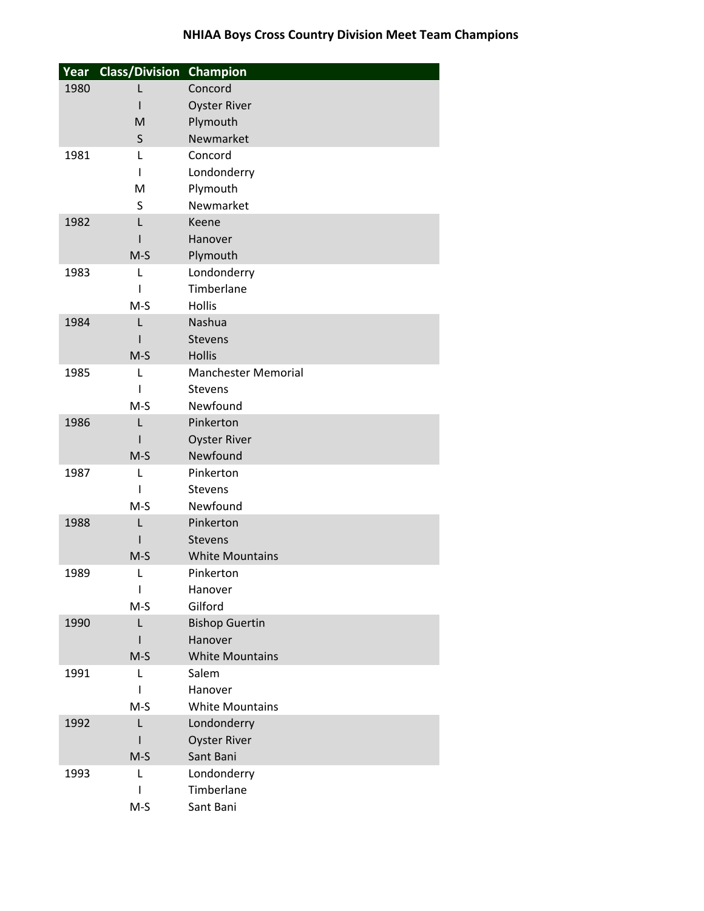| Year | <b>Class/Division Champion</b> |                            |
|------|--------------------------------|----------------------------|
| 1980 | L                              | Concord                    |
|      |                                | <b>Oyster River</b>        |
|      | M                              | Plymouth                   |
|      | S                              | Newmarket                  |
| 1981 | L                              | Concord                    |
|      | ı                              | Londonderry                |
|      | M                              | Plymouth                   |
|      | S                              | Newmarket                  |
| 1982 | L                              | Keene                      |
|      |                                | Hanover                    |
|      | $M-S$                          | Plymouth                   |
| 1983 | L                              | Londonderry                |
|      | ı                              | Timberlane                 |
|      | $M-S$                          | Hollis                     |
| 1984 | L                              | Nashua                     |
|      |                                | <b>Stevens</b>             |
|      | $M-S$                          | <b>Hollis</b>              |
| 1985 | L                              | <b>Manchester Memorial</b> |
|      |                                | <b>Stevens</b>             |
|      | $M-S$                          | Newfound                   |
| 1986 | L                              | Pinkerton                  |
|      |                                | <b>Oyster River</b>        |
|      | $M-S$                          | Newfound                   |
| 1987 | L                              | Pinkerton                  |
|      | ı<br>$M-S$                     | <b>Stevens</b><br>Newfound |
| 1988 | L                              | Pinkerton                  |
|      |                                | <b>Stevens</b>             |
|      | $M-S$                          | <b>White Mountains</b>     |
| 1989 | L                              | Pinkerton                  |
|      | ı                              | Hanover                    |
|      | $M-S$                          | Gilford                    |
| 1990 | L                              | <b>Bishop Guertin</b>      |
|      |                                | Hanover                    |
|      | $M-S$                          | <b>White Mountains</b>     |
| 1991 | L                              | Salem                      |
|      | ı                              | Hanover                    |
|      | $M-S$                          | <b>White Mountains</b>     |
| 1992 | L                              | Londonderry                |
|      |                                | <b>Oyster River</b>        |
|      | $M-S$                          | Sant Bani                  |
| 1993 | L                              | Londonderry                |
|      | ı                              | Timberlane                 |
|      | $M-S$                          | Sant Bani                  |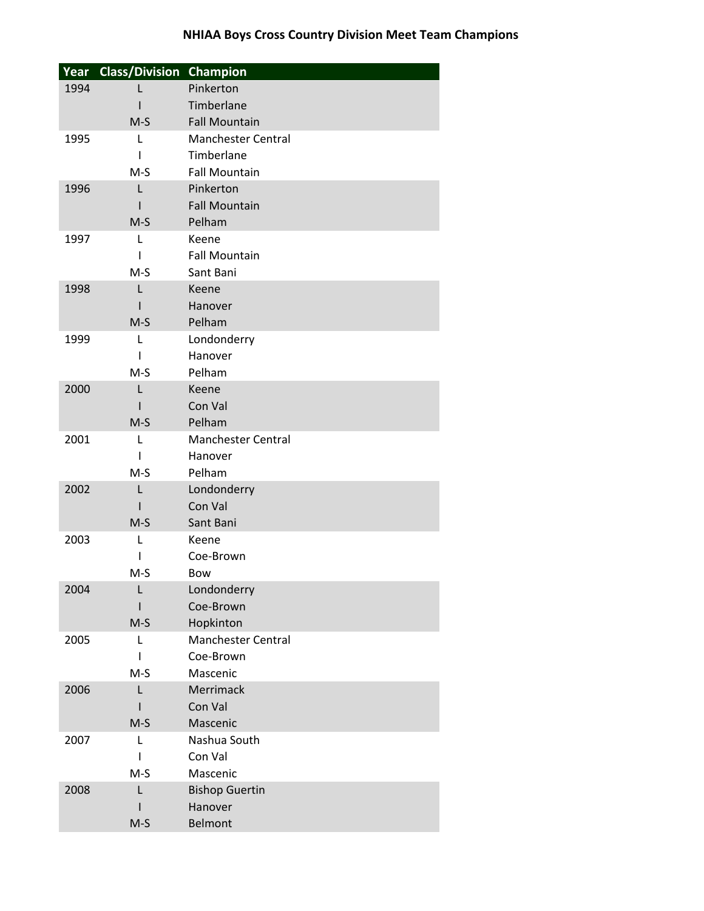|      | Year Class/Division Champion |                           |
|------|------------------------------|---------------------------|
| 1994 |                              | Pinkerton                 |
|      |                              | Timberlane                |
|      | $M-S$                        | <b>Fall Mountain</b>      |
| 1995 | L                            | <b>Manchester Central</b> |
|      | ı                            | Timberlane                |
|      | $M-S$                        | <b>Fall Mountain</b>      |
| 1996 | L                            | Pinkerton                 |
|      |                              | <b>Fall Mountain</b>      |
|      | $M-S$                        | Pelham                    |
| 1997 | L                            | Keene                     |
|      | I                            | <b>Fall Mountain</b>      |
|      | $M-S$                        | Sant Bani                 |
| 1998 | L                            | Keene                     |
|      |                              | Hanover                   |
|      | $M-S$                        | Pelham                    |
| 1999 | L                            | Londonderry               |
|      | ı                            | Hanover                   |
|      | $M-S$                        | Pelham                    |
| 2000 | L                            | Keene                     |
|      |                              | Con Val                   |
|      | $M-S$                        | Pelham                    |
| 2001 | L                            | <b>Manchester Central</b> |
|      | I                            | Hanover                   |
|      | $M-S$                        | Pelham                    |
| 2002 | L                            | Londonderry               |
|      | ı                            | Con Val                   |
| 2003 | $M-S$                        | Sant Bani<br>Keene        |
|      | L<br>I                       | Coe-Brown                 |
|      | M-S                          | Bow                       |
| 2004 | L                            | Londonderry               |
|      |                              | Coe-Brown                 |
|      | $M-S$                        | Hopkinton                 |
| 2005 | L                            | <b>Manchester Central</b> |
|      | L                            | Coe-Brown                 |
|      | $M-S$                        | Mascenic                  |
| 2006 | L                            | Merrimack                 |
|      |                              | Con Val                   |
|      | $M-S$                        | Mascenic                  |
| 2007 | L                            | Nashua South              |
|      | ı                            | Con Val                   |
|      | M-S                          | Mascenic                  |
| 2008 | L                            | <b>Bishop Guertin</b>     |
|      |                              | Hanover                   |
|      | $M-S$                        | Belmont                   |